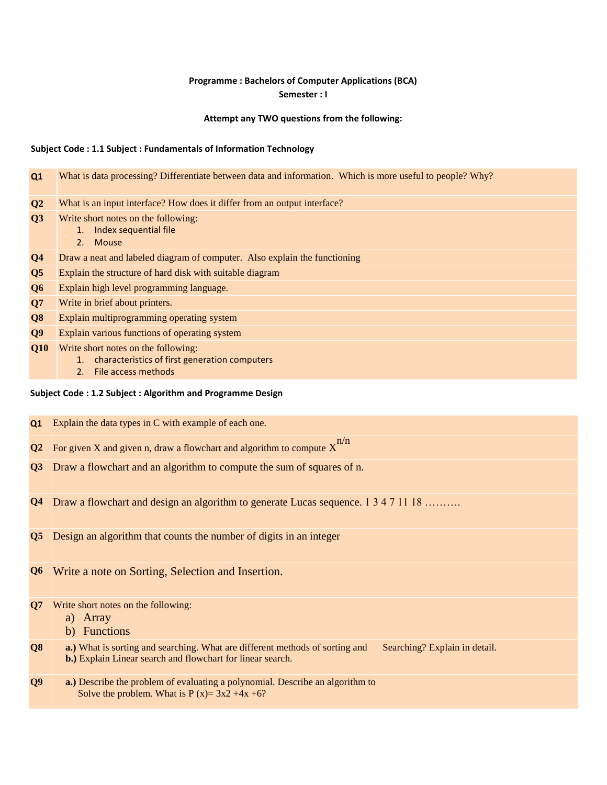# **Programme : Bachelors of Computer Applications (BCA) Semester : I**

## **Attempt any TWO questions from the following:**

## **Subject Code : 1.1 Subject : Fundamentals of Information Technology**

| Q1             | What is data processing? Differentiate between data and information. Which is more useful to people? Why? |
|----------------|-----------------------------------------------------------------------------------------------------------|
|                |                                                                                                           |
| $\bf Q2$       | What is an input interface? How does it differ from an output interface?                                  |
| Q3             | Write short notes on the following:                                                                       |
|                | Index sequential file<br>1.                                                                               |
|                | 2. Mouse                                                                                                  |
| Q <sub>4</sub> | Draw a neat and labeled diagram of computer. Also explain the functioning                                 |
| Q <sub>5</sub> | Explain the structure of hard disk with suitable diagram                                                  |
| Q <sub>6</sub> | Explain high level programming language.                                                                  |
| Q7             | Write in brief about printers.                                                                            |
| Q <sub>8</sub> | Explain multiprogramming operating system                                                                 |
| Q <sub>9</sub> | Explain various functions of operating system                                                             |
| Q10            | Write short notes on the following:                                                                       |
|                | characteristics of first generation computers<br>1.                                                       |
|                | File access methods<br>2.                                                                                 |
|                |                                                                                                           |

# **Subject Code : 1.2 Subject : Algorithm and Programme Design**

| Q1 | Explain the data types in C with example of each one.                                        |
|----|----------------------------------------------------------------------------------------------|
|    | <b>Q2</b> For given X and given n, draw a flowchart and algorithm to compute $X^{n/n}$       |
|    | <b>Q3</b> Draw a flowchart and an algorithm to compute the sum of squares of n.              |
|    |                                                                                              |
|    | <b>Q4</b> Draw a flowchart and design an algorithm to generate Lucas sequence. 1 3 4 7 11 18 |

- **Q5** Design an algorithm that counts the number of digits in an integer
- **Q6** Write a note on Sorting, Selection and Insertion.
- **Q7** Write short notes on the following:
	- a) Array
	- b) Functions
- **Q8 a.**) What is sorting and searching. What are different methods of sorting and Searching? Explain in detail. **b.)** Explain Linear search and flowchart for linear search.
- **Q9 a.)** Describe the problem of evaluating a polynomial. Describe an algorithm to Solve the problem. What is  $P(x) = 3x^2 + 4x +6$ ?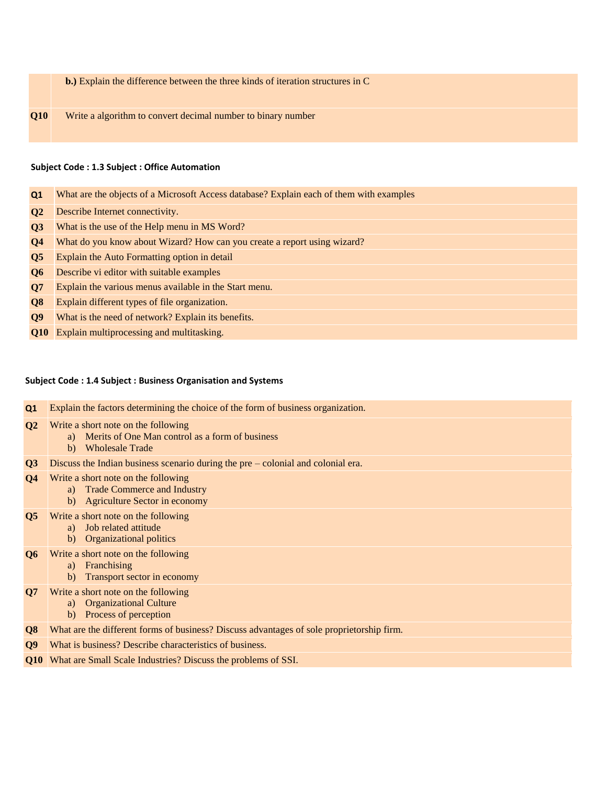**b.)** Explain the difference between the three kinds of iteration structures in C

**Q10** Write a algorithm to convert decimal number to binary number

#### **Subject Code : 1.3 Subject : Office Automation**

- **Q1** What are the objects of a Microsoft Access database? Explain each of them with examples
- **Q2** Describe Internet connectivity.
- **Q3** What is the use of the Help menu in MS Word?
- **Q4** What do you know about Wizard? How can you create a report using wizard?
- **Q5** Explain the Auto Formatting option in detail
- **Q6** Describe vi editor with suitable examples
- **Q7** Explain the various menus available in the Start menu.
- **Q8** Explain different types of file organization.
- **Q9** What is the need of network? Explain its benefits.
- **Q10** Explain multiprocessing and multitasking.

# **Subject Code : 1.4 Subject : Business Organisation and Systems**

| Q1                     | Explain the factors determining the choice of the form of business organization.                                              |
|------------------------|-------------------------------------------------------------------------------------------------------------------------------|
| Q <sub>2</sub>         | Write a short note on the following<br>Merits of One Man control as a form of business<br>a)<br><b>Wholesale Trade</b><br>b)  |
| Q3                     | Discuss the Indian business scenario during the $pre$ – colonial and colonial era.                                            |
| $\mathbf{Q}$ 4         | Write a short note on the following<br><b>Trade Commerce and Industry</b><br>a)<br><b>Agriculture Sector in economy</b><br>b) |
| $\overline{\text{Q5}}$ | Write a short note on the following<br>Job related attitude<br>a)<br><b>Organizational politics</b><br>b)                     |
| Q <sub>6</sub>         | Write a short note on the following<br>Franchising<br>a)<br>Transport sector in economy<br>b)                                 |
| Q7                     | Write a short note on the following<br><b>Organizational Culture</b><br>a)<br>Process of perception<br>b)                     |
| Q <sub>8</sub>         | What are the different forms of business? Discuss advantages of sole proprietorship firm.                                     |
| Q <sub>9</sub>         | What is business? Describe characteristics of business.                                                                       |

**Q10** What are Small Scale Industries? Discuss the problems of SSI.